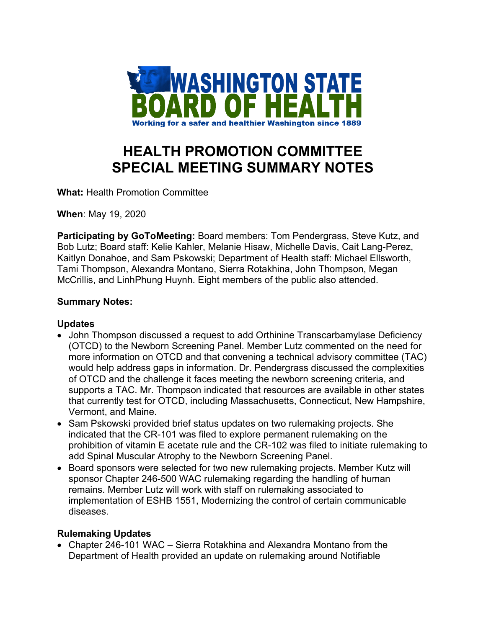

# **HEALTH PROMOTION COMMITTEE SPECIAL MEETING SUMMARY NOTES**

**What:** Health Promotion Committee

**When**: May 19, 2020

**Participating by GoToMeeting:** Board members: Tom Pendergrass, Steve Kutz, and Bob Lutz; Board staff: Kelie Kahler, Melanie Hisaw, Michelle Davis, Cait Lang-Perez, Kaitlyn Donahoe, and Sam Pskowski; Department of Health staff: Michael Ellsworth, Tami Thompson, Alexandra Montano, Sierra Rotakhina, John Thompson, Megan McCrillis, and LinhPhung Huynh. Eight members of the public also attended.

### **Summary Notes:**

### **Updates**

- John Thompson discussed a request to add Orthinine Transcarbamylase Deficiency (OTCD) to the Newborn Screening Panel. Member Lutz commented on the need for more information on OTCD and that convening a technical advisory committee (TAC) would help address gaps in information. Dr. Pendergrass discussed the complexities of OTCD and the challenge it faces meeting the newborn screening criteria, and supports a TAC. Mr. Thompson indicated that resources are available in other states that currently test for OTCD, including Massachusetts, Connecticut, New Hampshire, Vermont, and Maine.
- Sam Pskowski provided brief status updates on two rulemaking projects. She indicated that the CR-101 was filed to explore permanent rulemaking on the prohibition of vitamin E acetate rule and the CR-102 was filed to initiate rulemaking to add Spinal Muscular Atrophy to the Newborn Screening Panel.
- Board sponsors were selected for two new rulemaking projects. Member Kutz will sponsor Chapter 246-500 WAC rulemaking regarding the handling of human remains. Member Lutz will work with staff on rulemaking associated to implementation of ESHB 1551, Modernizing the control of certain communicable diseases.

### **Rulemaking Updates**

• Chapter 246-101 WAC – Sierra Rotakhina and Alexandra Montano from the Department of Health provided an update on rulemaking around Notifiable